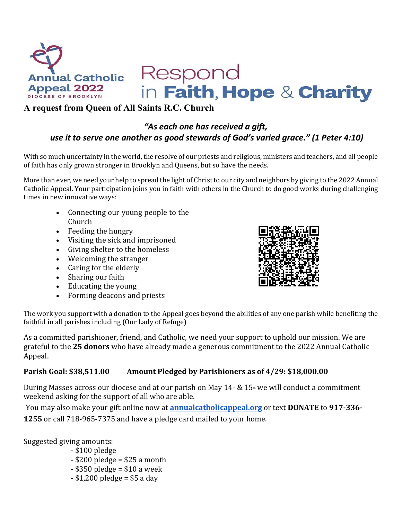

# Respond

in Faith, Hope & Charity

## **A request from Queen of All Saints R.C. Church**

## *"As each one has received a gift, use it to serve one another as good stewards of God's varied grace." (1 Peter 4:10)*

With so much uncertainty in the world, the resolve of our priests and religious, ministers and teachers, and all people of faith has only grown stronger in Brooklyn and Queens, but so have the needs.

More than ever, we need your help to spread the light of Christ to our city and neighbors by giving to the 2022 Annual Catholic Appeal. Your participation joins you in faith with others in the Church to do good works during challenging times in new innovative ways:

- Connecting our young people to the Church
- Feeding the hungry
- Visiting the sick and imprisoned
- Giving shelter to the homeless
- Welcoming the stranger
- Caring for the elderly
- Sharing our faith
- Educating the young
- Forming deacons and priests



The work you support with a donation to the Appeal goes beyond the abilities of any one parish while benefiting the faithful in all parishes including (Our Lady of Refuge)

As a committed parishioner, friend, and Catholic, we need your support to uphold our mission. We are grateful to the **25 donors** who have already made a generous commitment to the 2022 Annual Catholic Appeal.

## **Parish Goal: \$38,511.00 Amount Pledged by Parishioners as of 4/29: \$18,000.00**

During Masses across our diocese and at our parish on May  $14 \text{m} \& 15 \text{m}$  we will conduct a commitment weekend asking for the support of all who are able.

You may also make your gift online now at **[annualcatholicappeal.org](http://annualcatholicappeal.org/)** or text **DONATE** to **917-336- 1255** or call 718-965-7375 and have a pledge card mailed to your home.

Suggested giving amounts:

- \$100 pledge
- $-$  \$200 pledge = \$25 a month
- $-$  \$350 pledge = \$10 a week
- \$1,200 pledge = \$5 a day